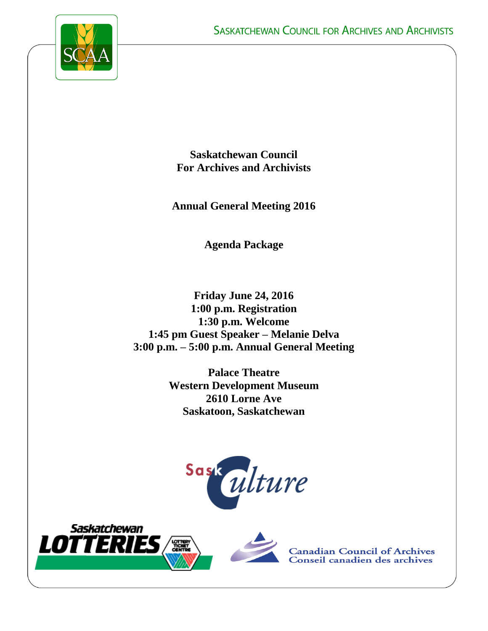

**Saskatchewan Council For Archives and Archivists**

**Annual General Meeting 2016**

**Agenda Package**

**Friday June 24, 2016 1:00 p.m. Registration 1:30 p.m. Welcome 1:45 pm Guest Speaker – Melanie Delva 3:00 p.m. – 5:00 p.m. Annual General Meeting**

> **Palace Theatre Western Development Museum 2610 Lorne Ave Saskatoon, Saskatchewan**





**Canadian Council of Archives<br>Conseil canadien des archives**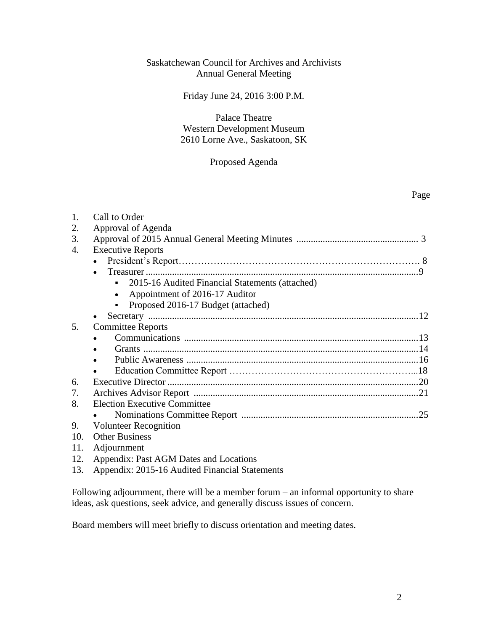### Saskatchewan Council for Archives and Archivists Annual General Meeting

### Friday June 24, 2016 3:00 P.M.

### Palace Theatre Western Development Museum 2610 Lorne Ave., Saskatoon, SK

#### Proposed Agenda

| 1.  | Call to Order                                   |  |
|-----|-------------------------------------------------|--|
| 2.  | Approval of Agenda                              |  |
| 3.  |                                                 |  |
| 4.  | <b>Executive Reports</b>                        |  |
|     |                                                 |  |
|     |                                                 |  |
|     | 2015-16 Audited Financial Statements (attached) |  |
|     | Appointment of 2016-17 Auditor<br>$\bullet$     |  |
|     | Proposed 2016-17 Budget (attached)              |  |
|     |                                                 |  |
| 5.  | <b>Committee Reports</b>                        |  |
|     |                                                 |  |
|     |                                                 |  |
|     |                                                 |  |
|     |                                                 |  |
| 6.  |                                                 |  |
| 7.  |                                                 |  |
| 8.  | <b>Election Executive Committee</b>             |  |
|     |                                                 |  |
| 9.  | <b>Volunteer Recognition</b>                    |  |
| 10. | <b>Other Business</b>                           |  |
| 11. | Adjournment                                     |  |
| 12. | Appendix: Past AGM Dates and Locations          |  |

13. Appendix: 2015-16 Audited Financial Statements

Following adjournment, there will be a member forum – an informal opportunity to share ideas, ask questions, seek advice, and generally discuss issues of concern.

Board members will meet briefly to discuss orientation and meeting dates.

Page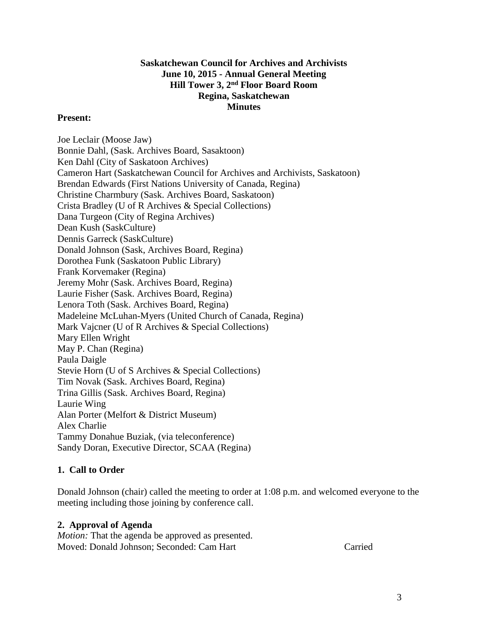## **Saskatchewan Council for Archives and Archivists June 10, 2015 - Annual General Meeting Hill Tower 3, 2nd Floor Board Room Regina, Saskatchewan Minutes**

### **Present:**

Joe Leclair (Moose Jaw) Bonnie Dahl, (Sask. Archives Board, Sasaktoon) Ken Dahl (City of Saskatoon Archives) Cameron Hart (Saskatchewan Council for Archives and Archivists, Saskatoon) Brendan Edwards (First Nations University of Canada, Regina) Christine Charmbury (Sask. Archives Board, Saskatoon) Crista Bradley (U of R Archives & Special Collections) Dana Turgeon (City of Regina Archives) Dean Kush (SaskCulture) Dennis Garreck (SaskCulture) Donald Johnson (Sask, Archives Board, Regina) Dorothea Funk (Saskatoon Public Library) Frank Korvemaker (Regina) Jeremy Mohr (Sask. Archives Board, Regina) Laurie Fisher (Sask. Archives Board, Regina) Lenora Toth (Sask. Archives Board, Regina) Madeleine McLuhan-Myers (United Church of Canada, Regina) Mark Vajcner (U of R Archives & Special Collections) Mary Ellen Wright May P. Chan (Regina) Paula Daigle Stevie Horn (U of S Archives & Special Collections) Tim Novak (Sask. Archives Board, Regina) Trina Gillis (Sask. Archives Board, Regina) Laurie Wing Alan Porter (Melfort & District Museum) Alex Charlie Tammy Donahue Buziak, (via teleconference) Sandy Doran, Executive Director, SCAA (Regina)

## **1. Call to Order**

Donald Johnson (chair) called the meeting to order at 1:08 p.m. and welcomed everyone to the meeting including those joining by conference call.

## **2. Approval of Agenda**

*Motion:* That the agenda be approved as presented. Moved: Donald Johnson; Seconded: Cam Hart Carried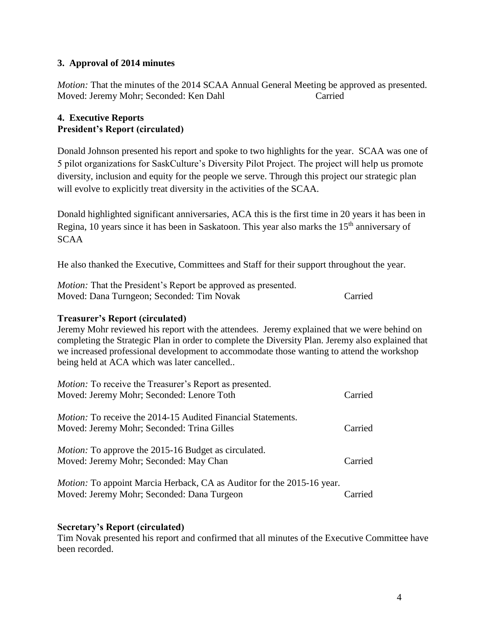## **3. Approval of 2014 minutes**

*Motion:* That the minutes of the 2014 SCAA Annual General Meeting be approved as presented. Moved: Jeremy Mohr; Seconded: Ken Dahl Carried

### **4. Executive Reports President's Report (circulated)**

Donald Johnson presented his report and spoke to two highlights for the year. SCAA was one of 5 pilot organizations for SaskCulture's Diversity Pilot Project. The project will help us promote diversity, inclusion and equity for the people we serve. Through this project our strategic plan will evolve to explicitly treat diversity in the activities of the SCAA.

Donald highlighted significant anniversaries, ACA this is the first time in 20 years it has been in Regina, 10 years since it has been in Saskatoon. This year also marks the 15<sup>th</sup> anniversary of SCAA

He also thanked the Executive, Committees and Staff for their support throughout the year.

| <i>Motion:</i> That the President's Report be approved as presented. |         |
|----------------------------------------------------------------------|---------|
| Moved: Dana Turngeon; Seconded: Tim Novak                            | Carried |

### **Treasurer's Report (circulated)**

Jeremy Mohr reviewed his report with the attendees. Jeremy explained that we were behind on completing the Strategic Plan in order to complete the Diversity Plan. Jeremy also explained that we increased professional development to accommodate those wanting to attend the workshop being held at ACA which was later cancelled..

| <i>Motion:</i> To receive the Treasurer's Report as presented.<br>Moved: Jeremy Mohr; Seconded: Lenore Toth                 | Carried |
|-----------------------------------------------------------------------------------------------------------------------------|---------|
| <i>Motion:</i> To receive the 2014-15 Audited Financial Statements.<br>Moved: Jeremy Mohr; Seconded: Trina Gilles           | Carried |
| <i>Motion:</i> To approve the 2015-16 Budget as circulated.<br>Moved: Jeremy Mohr; Seconded: May Chan                       | Carried |
| <i>Motion:</i> To appoint Marcia Herback, CA as Auditor for the 2015-16 year.<br>Moved: Jeremy Mohr; Seconded: Dana Turgeon | Carried |

### **Secretary's Report (circulated)**

Tim Novak presented his report and confirmed that all minutes of the Executive Committee have been recorded.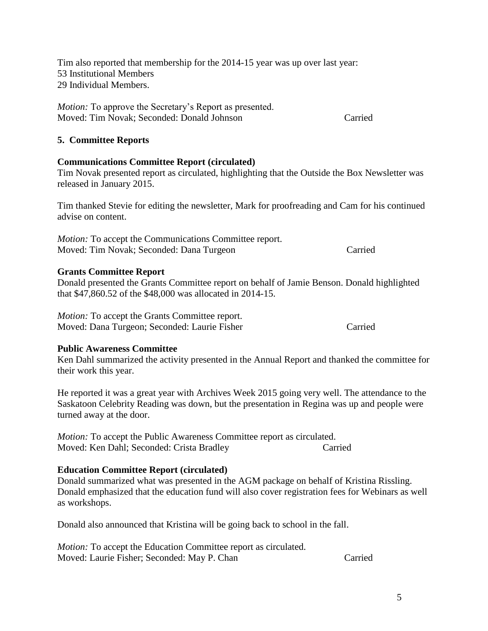Tim also reported that membership for the 2014-15 year was up over last year: 53 Institutional Members 29 Individual Members.

*Motion:* To approve the Secretary's Report as presented. Moved: Tim Novak; Seconded: Donald Johnson Carried

### **5. Committee Reports**

## **Communications Committee Report (circulated)**

Tim Novak presented report as circulated, highlighting that the Outside the Box Newsletter was released in January 2015.

Tim thanked Stevie for editing the newsletter, Mark for proofreading and Cam for his continued advise on content.

*Motion:* To accept the Communications Committee report. Moved: Tim Novak; Seconded: Dana Turgeon Carried

### **Grants Committee Report**

Donald presented the Grants Committee report on behalf of Jamie Benson. Donald highlighted that \$47,860.52 of the \$48,000 was allocated in 2014-15.

*Motion:* To accept the Grants Committee report. Moved: Dana Turgeon; Seconded: Laurie Fisher Carried Carried

### **Public Awareness Committee**

Ken Dahl summarized the activity presented in the Annual Report and thanked the committee for their work this year.

He reported it was a great year with Archives Week 2015 going very well. The attendance to the Saskatoon Celebrity Reading was down, but the presentation in Regina was up and people were turned away at the door.

*Motion:* To accept the Public Awareness Committee report as circulated. Moved: Ken Dahl; Seconded: Crista Bradley Carried

### **Education Committee Report (circulated)**

Donald summarized what was presented in the AGM package on behalf of Kristina Rissling. Donald emphasized that the education fund will also cover registration fees for Webinars as well as workshops.

Donald also announced that Kristina will be going back to school in the fall.

*Motion:* To accept the Education Committee report as circulated. Moved: Laurie Fisher; Seconded: May P. Chan Carried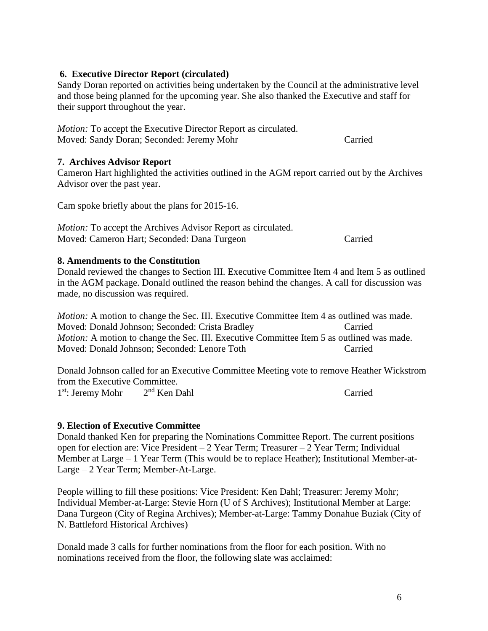### **6. Executive Director Report (circulated)**

Sandy Doran reported on activities being undertaken by the Council at the administrative level and those being planned for the upcoming year. She also thanked the Executive and staff for their support throughout the year.

*Motion:* To accept the Executive Director Report as circulated. Moved: Sandy Doran; Seconded: Jeremy Mohr Carried

#### **7. Archives Advisor Report**

Cameron Hart highlighted the activities outlined in the AGM report carried out by the Archives Advisor over the past year.

Cam spoke briefly about the plans for 2015-16.

*Motion:* To accept the Archives Advisor Report as circulated. Moved: Cameron Hart; Seconded: Dana Turgeon Carried

#### **8. Amendments to the Constitution**

Donald reviewed the changes to Section III. Executive Committee Item 4 and Item 5 as outlined in the AGM package. Donald outlined the reason behind the changes. A call for discussion was made, no discussion was required.

*Motion:* A motion to change the Sec. III. Executive Committee Item 4 as outlined was made. Moved: Donald Johnson; Seconded: Crista Bradley Carried *Motion:* A motion to change the Sec. III. Executive Committee Item 5 as outlined was made. Moved: Donald Johnson; Seconded: Lenore Toth Carried

Donald Johnson called for an Executive Committee Meeting vote to remove Heather Wickstrom from the Executive Committee. 1<sup>st</sup>: Jeremy Mohr 2 2<sup>nd</sup> Ken Dahl Carried

### **9. Election of Executive Committee**

Donald thanked Ken for preparing the Nominations Committee Report. The current positions open for election are: Vice President – 2 Year Term; Treasurer – 2 Year Term; Individual Member at Large – 1 Year Term (This would be to replace Heather); Institutional Member-at-Large – 2 Year Term; Member-At-Large.

People willing to fill these positions: Vice President: Ken Dahl; Treasurer: Jeremy Mohr; Individual Member-at-Large: Stevie Horn (U of S Archives); Institutional Member at Large: Dana Turgeon (City of Regina Archives); Member-at-Large: Tammy Donahue Buziak (City of N. Battleford Historical Archives)

Donald made 3 calls for further nominations from the floor for each position. With no nominations received from the floor, the following slate was acclaimed: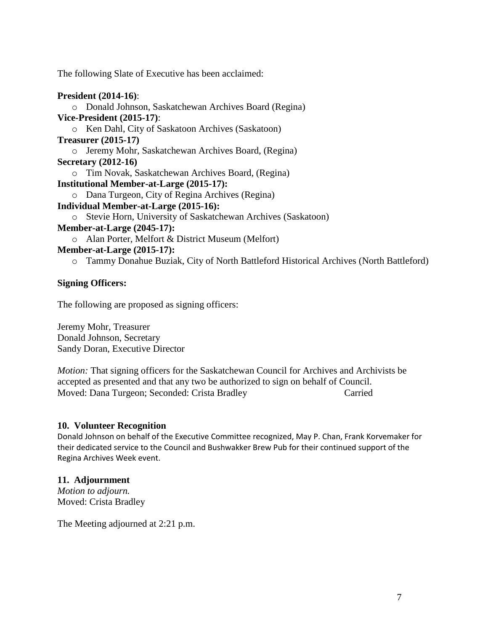The following Slate of Executive has been acclaimed:

### **President (2014-16)**:

o Donald Johnson, Saskatchewan Archives Board (Regina) **Vice-President (2015-17)**: o Ken Dahl, City of Saskatoon Archives (Saskatoon) **Treasurer (2015-17)** o Jeremy Mohr, Saskatchewan Archives Board, (Regina) **Secretary (2012-16)** o Tim Novak, Saskatchewan Archives Board, (Regina) **Institutional Member-at-Large (2015-17):** o Dana Turgeon, City of Regina Archives (Regina) **Individual Member-at-Large (2015-16):** o Stevie Horn, University of Saskatchewan Archives (Saskatoon) **Member-at-Large (2045-17):** o Alan Porter, Melfort & District Museum (Melfort) **Member-at-Large (2015-17):**

o Tammy Donahue Buziak, City of North Battleford Historical Archives (North Battleford)

### **Signing Officers:**

The following are proposed as signing officers:

Jeremy Mohr, Treasurer Donald Johnson, Secretary Sandy Doran, Executive Director

*Motion:* That signing officers for the Saskatchewan Council for Archives and Archivists be accepted as presented and that any two be authorized to sign on behalf of Council. Moved: Dana Turgeon; Seconded: Crista Bradley Carried Carried

### **10. Volunteer Recognition**

Donald Johnson on behalf of the Executive Committee recognized, May P. Chan, Frank Korvemaker for their dedicated service to the Council and Bushwakker Brew Pub for their continued support of the Regina Archives Week event.

## **11. Adjournment**

*Motion to adjourn.*  Moved: Crista Bradley

The Meeting adjourned at 2:21 p.m.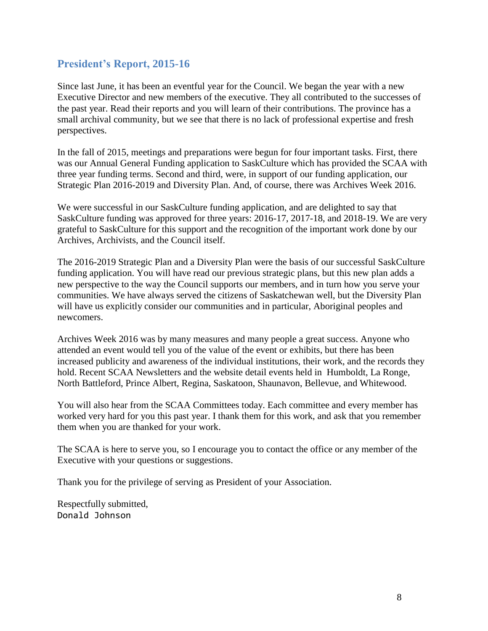## **President's Report, 2015-16**

Since last June, it has been an eventful year for the Council. We began the year with a new Executive Director and new members of the executive. They all contributed to the successes of the past year. Read their reports and you will learn of their contributions. The province has a small archival community, but we see that there is no lack of professional expertise and fresh perspectives.

In the fall of 2015, meetings and preparations were begun for four important tasks. First, there was our Annual General Funding application to SaskCulture which has provided the SCAA with three year funding terms. Second and third, were, in support of our funding application, our Strategic Plan 2016-2019 and Diversity Plan. And, of course, there was Archives Week 2016.

We were successful in our SaskCulture funding application, and are delighted to say that SaskCulture funding was approved for three years: 2016-17, 2017-18, and 2018-19. We are very grateful to SaskCulture for this support and the recognition of the important work done by our Archives, Archivists, and the Council itself.

The 2016-2019 Strategic Plan and a Diversity Plan were the basis of our successful SaskCulture funding application. You will have read our previous strategic plans, but this new plan adds a new perspective to the way the Council supports our members, and in turn how you serve your communities. We have always served the citizens of Saskatchewan well, but the Diversity Plan will have us explicitly consider our communities and in particular, Aboriginal peoples and newcomers.

Archives Week 2016 was by many measures and many people a great success. Anyone who attended an event would tell you of the value of the event or exhibits, but there has been increased publicity and awareness of the individual institutions, their work, and the records they hold. Recent SCAA Newsletters and the website detail events held in Humboldt, La Ronge, North Battleford, Prince Albert, Regina, Saskatoon, Shaunavon, Bellevue, and Whitewood.

You will also hear from the SCAA Committees today. Each committee and every member has worked very hard for you this past year. I thank them for this work, and ask that you remember them when you are thanked for your work.

The SCAA is here to serve you, so I encourage you to contact the office or any member of the Executive with your questions or suggestions.

Thank you for the privilege of serving as President of your Association.

Respectfully submitted, Donald Johnson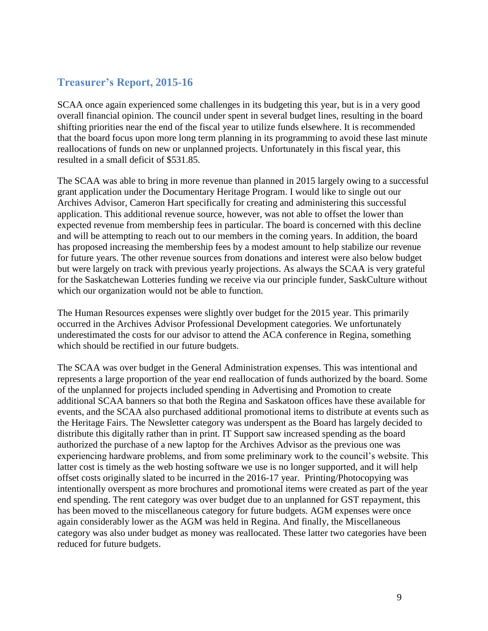# **Treasurer's Report, 2015-16**

SCAA once again experienced some challenges in its budgeting this year, but is in a very good overall financial opinion. The council under spent in several budget lines, resulting in the board shifting priorities near the end of the fiscal year to utilize funds elsewhere. It is recommended that the board focus upon more long term planning in its programming to avoid these last minute reallocations of funds on new or unplanned projects. Unfortunately in this fiscal year, this resulted in a small deficit of \$531.85.

The SCAA was able to bring in more revenue than planned in 2015 largely owing to a successful grant application under the Documentary Heritage Program. I would like to single out our Archives Advisor, Cameron Hart specifically for creating and administering this successful application. This additional revenue source, however, was not able to offset the lower than expected revenue from membership fees in particular. The board is concerned with this decline and will be attempting to reach out to our members in the coming years. In addition, the board has proposed increasing the membership fees by a modest amount to help stabilize our revenue for future years. The other revenue sources from donations and interest were also below budget but were largely on track with previous yearly projections. As always the SCAA is very grateful for the Saskatchewan Lotteries funding we receive via our principle funder, SaskCulture without which our organization would not be able to function.

The Human Resources expenses were slightly over budget for the 2015 year. This primarily occurred in the Archives Advisor Professional Development categories. We unfortunately underestimated the costs for our advisor to attend the ACA conference in Regina, something which should be rectified in our future budgets.

The SCAA was over budget in the General Administration expenses. This was intentional and represents a large proportion of the year end reallocation of funds authorized by the board. Some of the unplanned for projects included spending in Advertising and Promotion to create additional SCAA banners so that both the Regina and Saskatoon offices have these available for events, and the SCAA also purchased additional promotional items to distribute at events such as the Heritage Fairs. The Newsletter category was underspent as the Board has largely decided to distribute this digitally rather than in print. IT Support saw increased spending as the board authorized the purchase of a new laptop for the Archives Advisor as the previous one was experiencing hardware problems, and from some preliminary work to the council's website. This latter cost is timely as the web hosting software we use is no longer supported, and it will help offset costs originally slated to be incurred in the 2016-17 year. Printing/Photocopying was intentionally overspent as more brochures and promotional items were created as part of the year end spending. The rent category was over budget due to an unplanned for GST repayment, this has been moved to the miscellaneous category for future budgets. AGM expenses were once again considerably lower as the AGM was held in Regina. And finally, the Miscellaneous category was also under budget as money was reallocated. These latter two categories have been reduced for future budgets.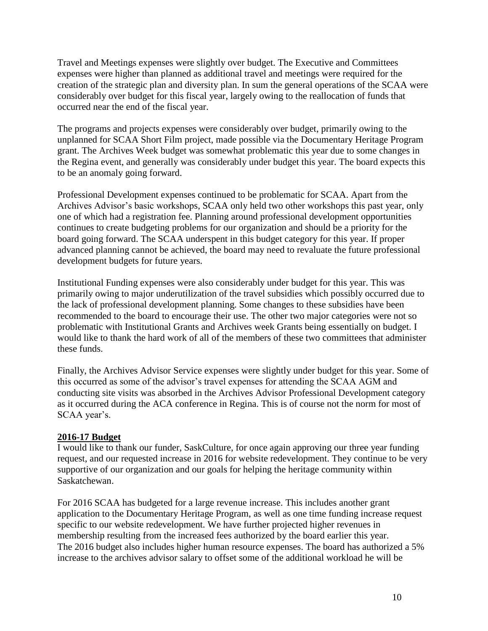Travel and Meetings expenses were slightly over budget. The Executive and Committees expenses were higher than planned as additional travel and meetings were required for the creation of the strategic plan and diversity plan. In sum the general operations of the SCAA were considerably over budget for this fiscal year, largely owing to the reallocation of funds that occurred near the end of the fiscal year.

The programs and projects expenses were considerably over budget, primarily owing to the unplanned for SCAA Short Film project, made possible via the Documentary Heritage Program grant. The Archives Week budget was somewhat problematic this year due to some changes in the Regina event, and generally was considerably under budget this year. The board expects this to be an anomaly going forward.

Professional Development expenses continued to be problematic for SCAA. Apart from the Archives Advisor's basic workshops, SCAA only held two other workshops this past year, only one of which had a registration fee. Planning around professional development opportunities continues to create budgeting problems for our organization and should be a priority for the board going forward. The SCAA underspent in this budget category for this year. If proper advanced planning cannot be achieved, the board may need to revaluate the future professional development budgets for future years.

Institutional Funding expenses were also considerably under budget for this year. This was primarily owing to major underutilization of the travel subsidies which possibly occurred due to the lack of professional development planning. Some changes to these subsidies have been recommended to the board to encourage their use. The other two major categories were not so problematic with Institutional Grants and Archives week Grants being essentially on budget. I would like to thank the hard work of all of the members of these two committees that administer these funds.

Finally, the Archives Advisor Service expenses were slightly under budget for this year. Some of this occurred as some of the advisor's travel expenses for attending the SCAA AGM and conducting site visits was absorbed in the Archives Advisor Professional Development category as it occurred during the ACA conference in Regina. This is of course not the norm for most of SCAA year's.

## **2016-17 Budget**

I would like to thank our funder, SaskCulture, for once again approving our three year funding request, and our requested increase in 2016 for website redevelopment. They continue to be very supportive of our organization and our goals for helping the heritage community within Saskatchewan.

For 2016 SCAA has budgeted for a large revenue increase. This includes another grant application to the Documentary Heritage Program, as well as one time funding increase request specific to our website redevelopment. We have further projected higher revenues in membership resulting from the increased fees authorized by the board earlier this year. The 2016 budget also includes higher human resource expenses. The board has authorized a 5% increase to the archives advisor salary to offset some of the additional workload he will be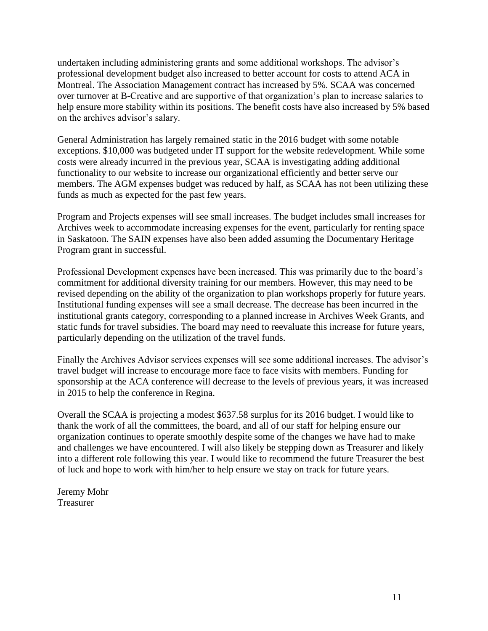undertaken including administering grants and some additional workshops. The advisor's professional development budget also increased to better account for costs to attend ACA in Montreal. The Association Management contract has increased by 5%. SCAA was concerned over turnover at B-Creative and are supportive of that organization's plan to increase salaries to help ensure more stability within its positions. The benefit costs have also increased by 5% based on the archives advisor's salary.

General Administration has largely remained static in the 2016 budget with some notable exceptions. \$10,000 was budgeted under IT support for the website redevelopment. While some costs were already incurred in the previous year, SCAA is investigating adding additional functionality to our website to increase our organizational efficiently and better serve our members. The AGM expenses budget was reduced by half, as SCAA has not been utilizing these funds as much as expected for the past few years.

Program and Projects expenses will see small increases. The budget includes small increases for Archives week to accommodate increasing expenses for the event, particularly for renting space in Saskatoon. The SAIN expenses have also been added assuming the Documentary Heritage Program grant in successful.

Professional Development expenses have been increased. This was primarily due to the board's commitment for additional diversity training for our members. However, this may need to be revised depending on the ability of the organization to plan workshops properly for future years. Institutional funding expenses will see a small decrease. The decrease has been incurred in the institutional grants category, corresponding to a planned increase in Archives Week Grants, and static funds for travel subsidies. The board may need to reevaluate this increase for future years, particularly depending on the utilization of the travel funds.

Finally the Archives Advisor services expenses will see some additional increases. The advisor's travel budget will increase to encourage more face to face visits with members. Funding for sponsorship at the ACA conference will decrease to the levels of previous years, it was increased in 2015 to help the conference in Regina.

Overall the SCAA is projecting a modest \$637.58 surplus for its 2016 budget. I would like to thank the work of all the committees, the board, and all of our staff for helping ensure our organization continues to operate smoothly despite some of the changes we have had to make and challenges we have encountered. I will also likely be stepping down as Treasurer and likely into a different role following this year. I would like to recommend the future Treasurer the best of luck and hope to work with him/her to help ensure we stay on track for future years.

Jeremy Mohr Treasurer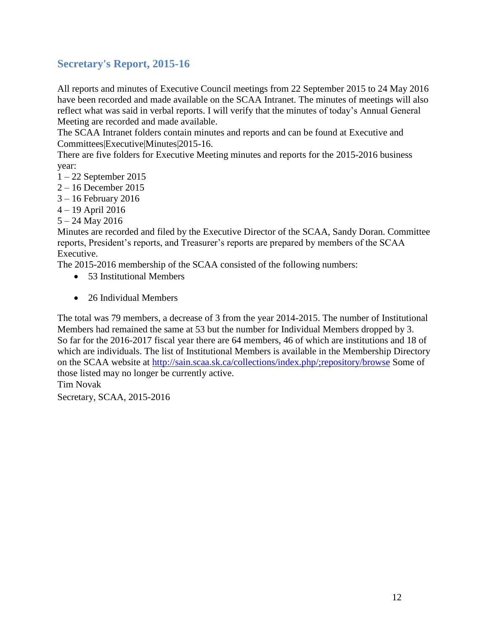# **Secretary's Report, 2015-16**

All reports and minutes of Executive Council meetings from 22 September 2015 to 24 May 2016 have been recorded and made available on the SCAA Intranet. The minutes of meetings will also reflect what was said in verbal reports. I will verify that the minutes of today's Annual General Meeting are recorded and made available.

The SCAA Intranet folders contain minutes and reports and can be found at Executive and Committees|Executive|Minutes|2015-16.

There are five folders for Executive Meeting minutes and reports for the 2015-2016 business year:

- 1 22 September 2015
- 2 16 December 2015
- 3 16 February 2016
- 4 19 April 2016
- 5 24 May 2016

Minutes are recorded and filed by the Executive Director of the SCAA, Sandy Doran. Committee reports, President's reports, and Treasurer's reports are prepared by members of the SCAA Executive.

The 2015-2016 membership of the SCAA consisted of the following numbers:

- 53 Institutional Members
- 26 Individual Members

The total was 79 members, a decrease of 3 from the year 2014-2015. The number of Institutional Members had remained the same at 53 but the number for Individual Members dropped by 3. So far for the 2016-2017 fiscal year there are 64 members, 46 of which are institutions and 18 of which are individuals. The list of Institutional Members is available in the Membership Directory on the SCAA website at<http://sain.scaa.sk.ca/collections/index.php/;repository/browse> Some of those listed may no longer be currently active. Tim Novak

Secretary, SCAA, 2015-2016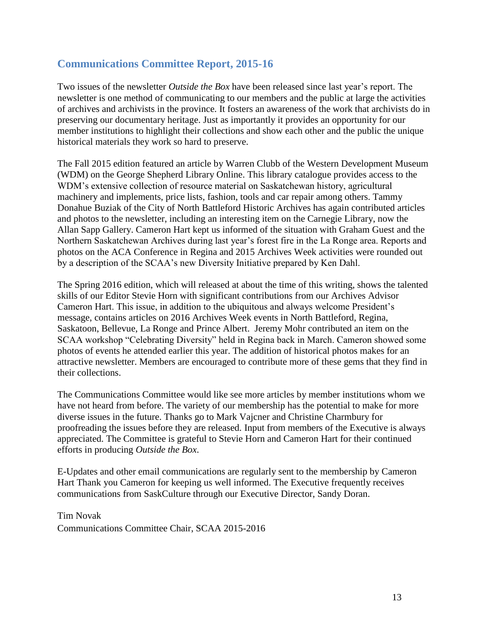## **Communications Committee Report, 2015-16**

Two issues of the newsletter *Outside the Box* have been released since last year's report. The newsletter is one method of communicating to our members and the public at large the activities of archives and archivists in the province. It fosters an awareness of the work that archivists do in preserving our documentary heritage. Just as importantly it provides an opportunity for our member institutions to highlight their collections and show each other and the public the unique historical materials they work so hard to preserve.

The Fall 2015 edition featured an article by Warren Clubb of the Western Development Museum (WDM) on the George Shepherd Library Online. This library catalogue provides access to the WDM's extensive collection of resource material on Saskatchewan history, agricultural machinery and implements, price lists, fashion, tools and car repair among others. Tammy Donahue Buziak of the City of North Battleford Historic Archives has again contributed articles and photos to the newsletter, including an interesting item on the Carnegie Library, now the Allan Sapp Gallery. Cameron Hart kept us informed of the situation with Graham Guest and the Northern Saskatchewan Archives during last year's forest fire in the La Ronge area. Reports and photos on the ACA Conference in Regina and 2015 Archives Week activities were rounded out by a description of the SCAA's new Diversity Initiative prepared by Ken Dahl.

The Spring 2016 edition, which will released at about the time of this writing, shows the talented skills of our Editor Stevie Horn with significant contributions from our Archives Advisor Cameron Hart. This issue, in addition to the ubiquitous and always welcome President's message, contains articles on 2016 Archives Week events in North Battleford, Regina, Saskatoon, Bellevue, La Ronge and Prince Albert. Jeremy Mohr contributed an item on the SCAA workshop "Celebrating Diversity" held in Regina back in March. Cameron showed some photos of events he attended earlier this year. The addition of historical photos makes for an attractive newsletter. Members are encouraged to contribute more of these gems that they find in their collections.

The Communications Committee would like see more articles by member institutions whom we have not heard from before. The variety of our membership has the potential to make for more diverse issues in the future. Thanks go to Mark Vajcner and Christine Charmbury for proofreading the issues before they are released. Input from members of the Executive is always appreciated. The Committee is grateful to Stevie Horn and Cameron Hart for their continued efforts in producing *Outside the Box*.

E-Updates and other email communications are regularly sent to the membership by Cameron Hart Thank you Cameron for keeping us well informed. The Executive frequently receives communications from SaskCulture through our Executive Director, Sandy Doran.

Tim Novak Communications Committee Chair, SCAA 2015-2016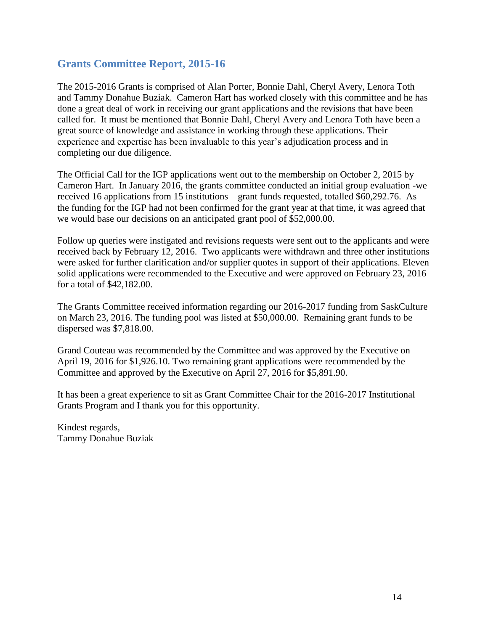## **Grants Committee Report, 2015-16**

The 2015-2016 Grants is comprised of Alan Porter, Bonnie Dahl, Cheryl Avery, Lenora Toth and Tammy Donahue Buziak. Cameron Hart has worked closely with this committee and he has done a great deal of work in receiving our grant applications and the revisions that have been called for. It must be mentioned that Bonnie Dahl, Cheryl Avery and Lenora Toth have been a great source of knowledge and assistance in working through these applications. Their experience and expertise has been invaluable to this year's adjudication process and in completing our due diligence.

The Official Call for the IGP applications went out to the membership on October 2, 2015 by Cameron Hart. In January 2016, the grants committee conducted an initial group evaluation -we received 16 applications from 15 institutions – grant funds requested, totalled \$60,292.76. As the funding for the IGP had not been confirmed for the grant year at that time, it was agreed that we would base our decisions on an anticipated grant pool of \$52,000.00.

Follow up queries were instigated and revisions requests were sent out to the applicants and were received back by February 12, 2016. Two applicants were withdrawn and three other institutions were asked for further clarification and/or supplier quotes in support of their applications. Eleven solid applications were recommended to the Executive and were approved on February 23, 2016 for a total of \$42,182.00.

The Grants Committee received information regarding our 2016-2017 funding from SaskCulture on March 23, 2016. The funding pool was listed at \$50,000.00. Remaining grant funds to be dispersed was \$7,818.00.

Grand Couteau was recommended by the Committee and was approved by the Executive on April 19, 2016 for \$1,926.10. Two remaining grant applications were recommended by the Committee and approved by the Executive on April 27, 2016 for \$5,891.90.

It has been a great experience to sit as Grant Committee Chair for the 2016-2017 Institutional Grants Program and I thank you for this opportunity.

Kindest regards, Tammy Donahue Buziak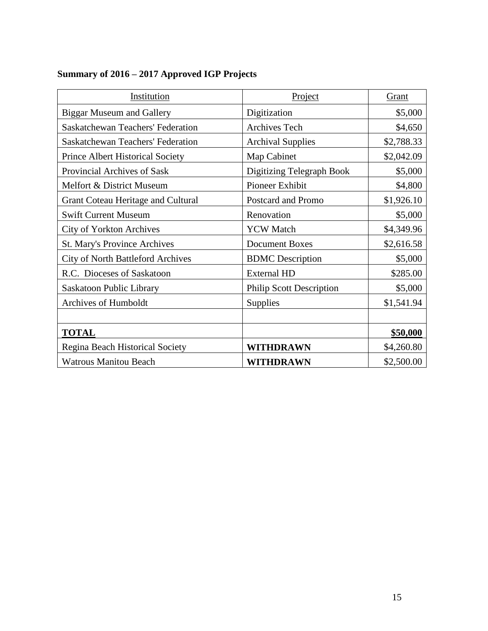# **Summary of 2016 – 2017 Approved IGP Projects**

| Institution                               | Project                         | Grant      |
|-------------------------------------------|---------------------------------|------------|
| <b>Biggar Museum and Gallery</b>          | Digitization                    | \$5,000    |
| <b>Saskatchewan Teachers' Federation</b>  | <b>Archives Tech</b>            | \$4,650    |
| <b>Saskatchewan Teachers' Federation</b>  | <b>Archival Supplies</b>        | \$2,788.33 |
| <b>Prince Albert Historical Society</b>   | Map Cabinet                     | \$2,042.09 |
| Provincial Archives of Sask               | Digitizing Telegraph Book       | \$5,000    |
| Melfort & District Museum                 | Pioneer Exhibit                 | \$4,800    |
| <b>Grant Coteau Heritage and Cultural</b> | Postcard and Promo              | \$1,926.10 |
| <b>Swift Current Museum</b>               | Renovation                      | \$5,000    |
| City of Yorkton Archives                  | <b>YCW</b> Match                | \$4,349.96 |
| St. Mary's Province Archives              | <b>Document Boxes</b>           | \$2,616.58 |
| <b>City of North Battleford Archives</b>  | <b>BDMC</b> Description         | \$5,000    |
| R.C. Dioceses of Saskatoon                | <b>External HD</b>              | \$285.00   |
| Saskatoon Public Library                  | <b>Philip Scott Description</b> | \$5,000    |
| Archives of Humboldt                      | Supplies                        | \$1,541.94 |
|                                           |                                 |            |
| <b>TOTAL</b>                              |                                 | \$50,000   |
| Regina Beach Historical Society           | WITHDRAWN                       | \$4,260.80 |
| <b>Watrous Manitou Beach</b>              | WITHDRAWN                       | \$2,500.00 |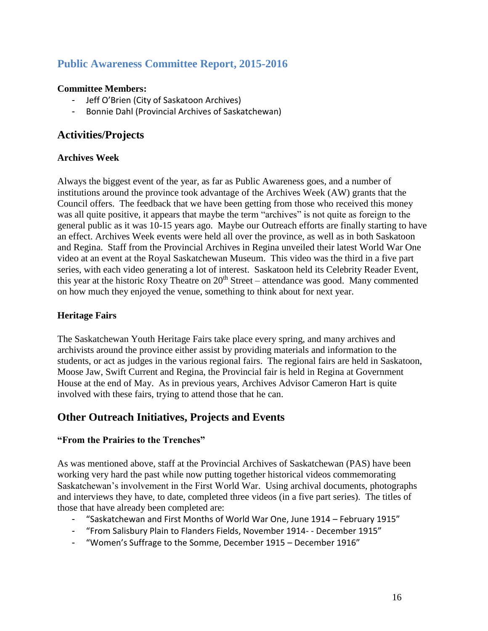# **Public Awareness Committee Report, 2015-2016**

### **Committee Members:**

- Jeff O'Brien (City of Saskatoon Archives)
- Bonnie Dahl (Provincial Archives of Saskatchewan)

## **Activities/Projects**

### **Archives Week**

Always the biggest event of the year, as far as Public Awareness goes, and a number of institutions around the province took advantage of the Archives Week (AW) grants that the Council offers. The feedback that we have been getting from those who received this money was all quite positive, it appears that maybe the term "archives" is not quite as foreign to the general public as it was 10-15 years ago. Maybe our Outreach efforts are finally starting to have an effect. Archives Week events were held all over the province, as well as in both Saskatoon and Regina. Staff from the Provincial Archives in Regina unveiled their latest World War One video at an event at the Royal Saskatchewan Museum. This video was the third in a five part series, with each video generating a lot of interest. Saskatoon held its Celebrity Reader Event, this year at the historic Roxy Theatre on  $20<sup>th</sup>$  Street – attendance was good. Many commented on how much they enjoyed the venue, something to think about for next year.

### **Heritage Fairs**

The Saskatchewan Youth Heritage Fairs take place every spring, and many archives and archivists around the province either assist by providing materials and information to the students, or act as judges in the various regional fairs. The regional fairs are held in Saskatoon, Moose Jaw, Swift Current and Regina, the Provincial fair is held in Regina at Government House at the end of May. As in previous years, Archives Advisor Cameron Hart is quite involved with these fairs, trying to attend those that he can.

## **Other Outreach Initiatives, Projects and Events**

### **"From the Prairies to the Trenches"**

As was mentioned above, staff at the Provincial Archives of Saskatchewan (PAS) have been working very hard the past while now putting together historical videos commemorating Saskatchewan's involvement in the First World War. Using archival documents, photographs and interviews they have, to date, completed three videos (in a five part series). The titles of those that have already been completed are:

- "Saskatchewan and First Months of World War One, June 1914 February 1915"
- "From Salisbury Plain to Flanders Fields, November 1914- December 1915"
- "Women's Suffrage to the Somme, December 1915 December 1916"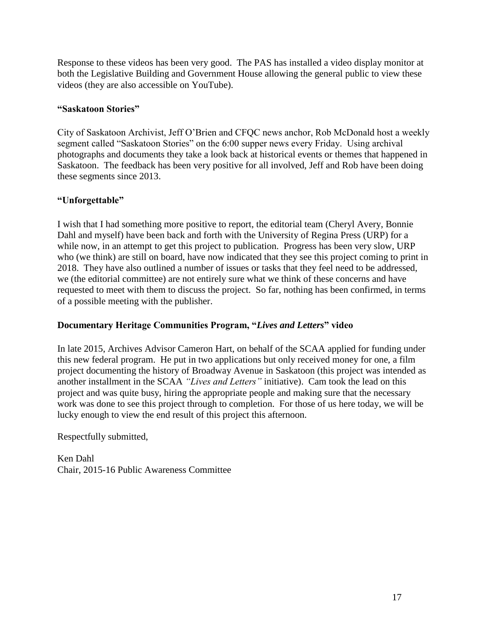Response to these videos has been very good. The PAS has installed a video display monitor at both the Legislative Building and Government House allowing the general public to view these videos (they are also accessible on YouTube).

## **"Saskatoon Stories"**

City of Saskatoon Archivist, Jeff O'Brien and CFQC news anchor, Rob McDonald host a weekly segment called "Saskatoon Stories" on the 6:00 supper news every Friday. Using archival photographs and documents they take a look back at historical events or themes that happened in Saskatoon. The feedback has been very positive for all involved, Jeff and Rob have been doing these segments since 2013.

## **"Unforgettable"**

I wish that I had something more positive to report, the editorial team (Cheryl Avery, Bonnie Dahl and myself) have been back and forth with the University of Regina Press (URP) for a while now, in an attempt to get this project to publication. Progress has been very slow, URP who (we think) are still on board, have now indicated that they see this project coming to print in 2018. They have also outlined a number of issues or tasks that they feel need to be addressed, we (the editorial committee) are not entirely sure what we think of these concerns and have requested to meet with them to discuss the project. So far, nothing has been confirmed, in terms of a possible meeting with the publisher.

## **Documentary Heritage Communities Program, "***Lives and Letters***" video**

In late 2015, Archives Advisor Cameron Hart, on behalf of the SCAA applied for funding under this new federal program. He put in two applications but only received money for one, a film project documenting the history of Broadway Avenue in Saskatoon (this project was intended as another installment in the SCAA *"Lives and Letters"* initiative). Cam took the lead on this project and was quite busy, hiring the appropriate people and making sure that the necessary work was done to see this project through to completion. For those of us here today, we will be lucky enough to view the end result of this project this afternoon.

Respectfully submitted,

Ken Dahl Chair, 2015-16 Public Awareness Committee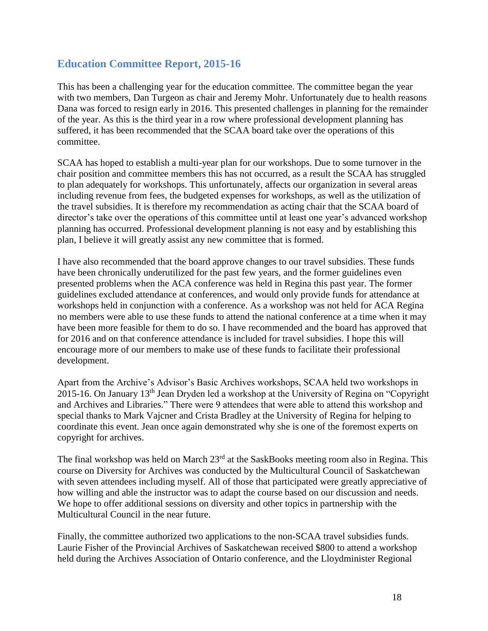## **Education Committee Report, 2015-16**

This has been a challenging year for the education committee. The committee began the year with two members, Dan Turgeon as chair and Jeremy Mohr. Unfortunately due to health reasons Dana was forced to resign early in 2016. This presented challenges in planning for the remainder of the year. As this is the third year in a row where professional development planning has suffered, it has been recommended that the SCAA board take over the operations of this committee.

SCAA has hoped to establish a multi-year plan for our workshops. Due to some turnover in the chair position and committee members this has not occurred, as a result the SCAA has struggled to plan adequately for workshops. This unfortunately, affects our organization in several areas including revenue from fees, the budgeted expenses for workshops, as well as the utilization of the travel subsidies. It is therefore my recommendation as acting chair that the SCAA board of director's take over the operations of this committee until at least one year's advanced workshop planning has occurred. Professional development planning is not easy and by establishing this plan, I believe it will greatly assist any new committee that is formed.

I have also recommended that the board approve changes to our travel subsidies. These funds have been chronically underutilized for the past few years, and the former guidelines even presented problems when the ACA conference was held in Regina this past year. The former guidelines excluded attendance at conferences, and would only provide funds for attendance at workshops held in conjunction with a conference. As a workshop was not held for ACA Regina no members were able to use these funds to attend the national conference at a time when it may have been more feasible for them to do so. I have recommended and the board has approved that for 2016 and on that conference attendance is included for travel subsidies. I hope this will encourage more of our members to make use of these funds to facilitate their professional development.

Apart from the Archive's Advisor's Basic Archives workshops, SCAA held two workshops in 2015-16. On January 13<sup>th</sup> Jean Dryden led a workshop at the University of Regina on "Copyright" and Archives and Libraries." There were 9 attendees that were able to attend this workshop and special thanks to Mark Vajcner and Crista Bradley at the University of Regina for helping to coordinate this event. Jean once again demonstrated why she is one of the foremost experts on copyright for archives.

The final workshop was held on March  $23<sup>rd</sup>$  at the SaskBooks meeting room also in Regina. This course on Diversity for Archives was conducted by the Multicultural Council of Saskatchewan with seven attendees including myself. All of those that participated were greatly appreciative of how willing and able the instructor was to adapt the course based on our discussion and needs. We hope to offer additional sessions on diversity and other topics in partnership with the Multicultural Council in the near future.

Finally, the committee authorized two applications to the non-SCAA travel subsidies funds. Laurie Fisher of the Provincial Archives of Saskatchewan received \$800 to attend a workshop held during the Archives Association of Ontario conference, and the Lloydminister Regional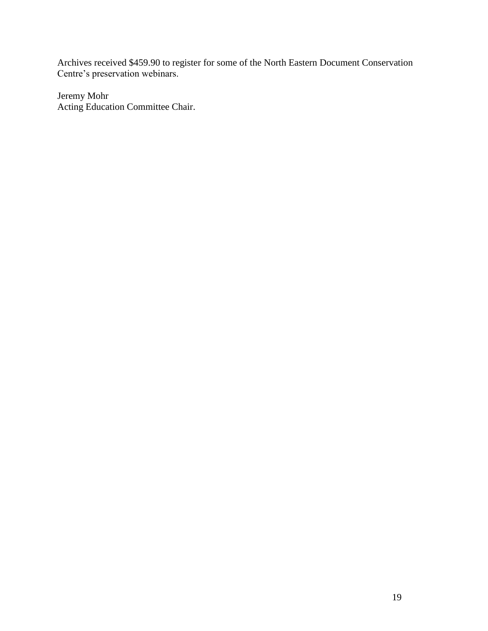Archives received \$459.90 to register for some of the North Eastern Document Conservation Centre's preservation webinars.

Jeremy Mohr Acting Education Committee Chair.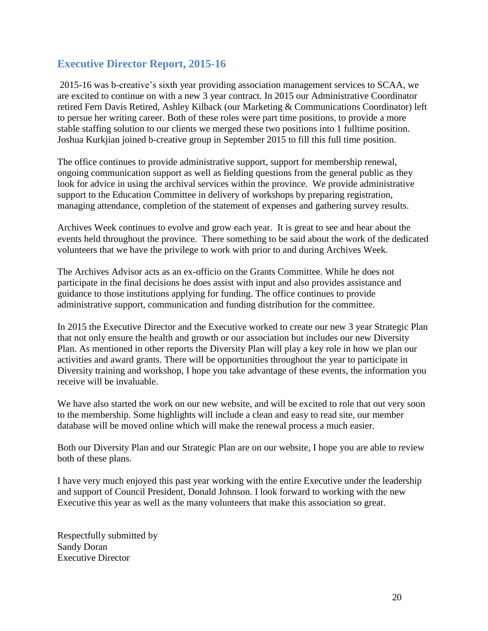## **Executive Director Report, 2015-16**

2015-16 was b-creative's sixth year providing association management services to SCAA, we are excited to continue on with a new 3 year contract. In 2015 our Administrative Coordinator retired Fern Davis Retired, Ashley Kilback (our Marketing & Communications Coordinator) left to persue her writing career. Both of these roles were part time positions, to provide a more stable staffing solution to our clients we merged these two positions into 1 fulltime position. Joshua Kurkjian joined b-creative group in September 2015 to fill this full time position.

The office continues to provide administrative support, support for membership renewal, ongoing communication support as well as fielding questions from the general public as they look for advice in using the archival services within the province. We provide administrative support to the Education Committee in delivery of workshops by preparing registration, managing attendance, completion of the statement of expenses and gathering survey results.

Archives Week continues to evolve and grow each year. It is great to see and hear about the events held throughout the province. There something to be said about the work of the dedicated volunteers that we have the privilege to work with prior to and during Archives Week.

The Archives Advisor acts as an ex-officio on the Grants Committee. While he does not participate in the final decisions he does assist with input and also provides assistance and guidance to those institutions applying for funding. The office continues to provide administrative support, communication and funding distribution for the committee.

In 2015 the Executive Director and the Executive worked to create our new 3 year Strategic Plan that not only ensure the health and growth or our association but includes our new Diversity Plan. As mentioned in other reports the Diversity Plan will play a key role in how we plan our activities and award grants. There will be opportunities throughout the year to participate in Diversity training and workshop, I hope you take advantage of these events, the information you receive will be invaluable.

We have also started the work on our new website, and will be excited to role that out very soon to the membership. Some highlights will include a clean and easy to read site, our member database will be moved online which will make the renewal process a much easier.

Both our Diversity Plan and our Strategic Plan are on our website, I hope you are able to review both of these plans.

I have very much enjoyed this past year working with the entire Executive under the leadership and support of Council President, Donald Johnson. I look forward to working with the new Executive this year as well as the many volunteers that make this association so great.

Respectfully submitted by Sandy Doran Executive Director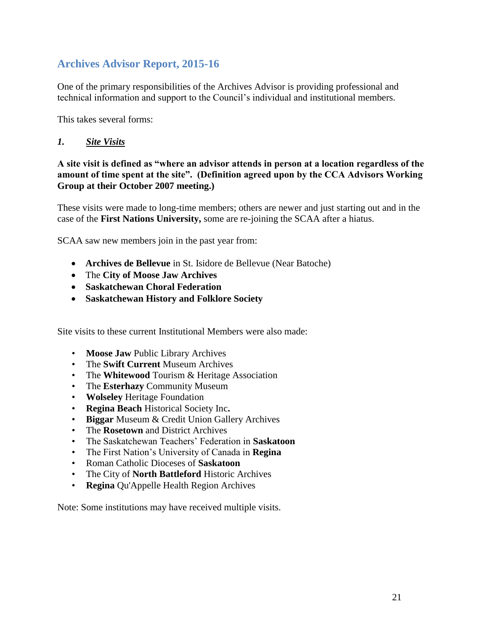# **Archives Advisor Report, 2015-16**

One of the primary responsibilities of the Archives Advisor is providing professional and technical information and support to the Council's individual and institutional members.

This takes several forms:

## *1. Site Visits*

## **A site visit is defined as "where an advisor attends in person at a location regardless of the amount of time spent at the site". (Definition agreed upon by the CCA Advisors Working Group at their October 2007 meeting.)**

These visits were made to long-time members; others are newer and just starting out and in the case of the **First Nations University,** some are re-joining the SCAA after a hiatus.

SCAA saw new members join in the past year from:

- **Archives de Bellevue** in St. Isidore de Bellevue (Near Batoche)
- The **City of Moose Jaw Archives**
- **Saskatchewan Choral Federation**
- **Saskatchewan History and Folklore Society**

Site visits to these current Institutional Members were also made:

- **Moose Jaw** Public Library Archives
- The **Swift Current** Museum Archives
- The **Whitewood** Tourism & Heritage Association
- The **Esterhazy** Community Museum
- **Wolseley** Heritage Foundation
- **Regina Beach** Historical Society Inc**.**
- **Biggar** Museum & Credit Union Gallery Archives
- The **Rosetown** and District Archives
- The Saskatchewan Teachers' Federation in **Saskatoon**
- The First Nation's University of Canada in **Regina**
- Roman Catholic Dioceses of **Saskatoon**
- The City of **North Battleford** Historic Archives
- **Regina** Qu'Appelle Health Region Archives

Note: Some institutions may have received multiple visits.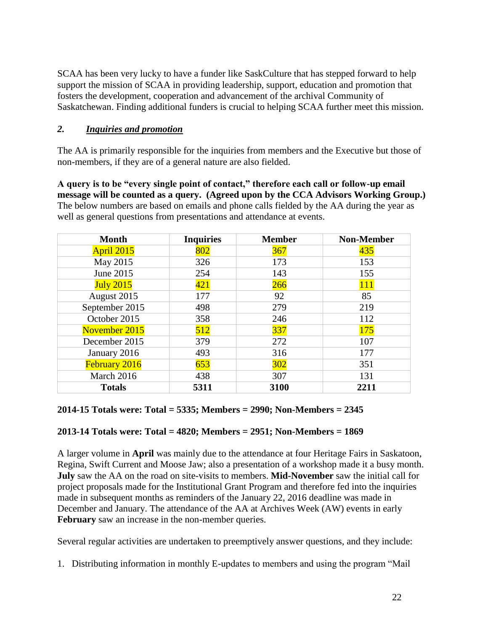SCAA has been very lucky to have a funder like SaskCulture that has stepped forward to help support the mission of SCAA in providing leadership, support, education and promotion that fosters the development, cooperation and advancement of the archival Community of Saskatchewan. Finding additional funders is crucial to helping SCAA further meet this mission.

## *2. Inquiries and promotion*

The AA is primarily responsible for the inquiries from members and the Executive but those of non-members, if they are of a general nature are also fielded.

**A query is to be "every single point of contact," therefore each call or follow-up email message will be counted as a query. (Agreed upon by the CCA Advisors Working Group.)**  The below numbers are based on emails and phone calls fielded by the AA during the year as well as general questions from presentations and attendance at events.

| <b>Month</b>     | <b>Inquiries</b> | <b>Member</b> | <b>Non-Member</b> |
|------------------|------------------|---------------|-------------------|
| April 2015       | 802              | 367           | 435               |
| May 2015         | 326              | 173           | 153               |
| June 2015        | 254              | 143           | 155               |
| <b>July 2015</b> | 421              | 266           | 111               |
| August 2015      | 177              | 92            | 85                |
| September 2015   | 498              | 279           | 219               |
| October 2015     | 358              | 246           | 112               |
| November 2015    | 512              | 337           | <b>175</b>        |
| December 2015    | 379              | 272           | 107               |
| January 2016     | 493              | 316           | 177               |
| February 2016    | 653              | 302           | 351               |
| March 2016       | 438              | 307           | 131               |
| <b>Totals</b>    | 5311             | 3100          | 2211              |

## **2014-15 Totals were: Total = 5335; Members = 2990; Non-Members = 2345**

## **2013-14 Totals were: Total = 4820; Members = 2951; Non-Members = 1869**

A larger volume in **April** was mainly due to the attendance at four Heritage Fairs in Saskatoon, Regina, Swift Current and Moose Jaw; also a presentation of a workshop made it a busy month. **July** saw the AA on the road on site-visits to members. **Mid-November** saw the initial call for project proposals made for the Institutional Grant Program and therefore fed into the inquiries made in subsequent months as reminders of the January 22, 2016 deadline was made in December and January. The attendance of the AA at Archives Week (AW) events in early **February** saw an increase in the non-member queries.

Several regular activities are undertaken to preemptively answer questions, and they include:

1. Distributing information in monthly E-updates to members and using the program "Mail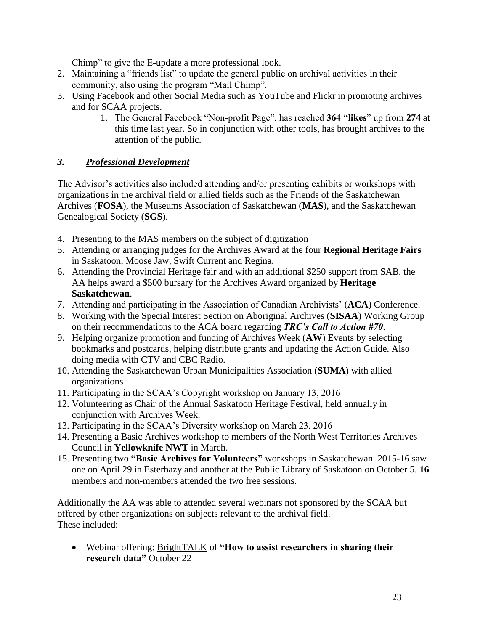Chimp" to give the E-update a more professional look.

- 2. Maintaining a "friends list" to update the general public on archival activities in their community, also using the program "Mail Chimp".
- 3. Using Facebook and other Social Media such as YouTube and Flickr in promoting archives and for SCAA projects.
	- 1. The General Facebook "Non-profit Page", has reached **364 "likes**" up from **274** at this time last year. So in conjunction with other tools, has brought archives to the attention of the public.

## *3. Professional Development*

The Advisor's activities also included attending and/or presenting exhibits or workshops with organizations in the archival field or allied fields such as the Friends of the Saskatchewan Archives (**FOSA**), the Museums Association of Saskatchewan (**MAS**), and the Saskatchewan Genealogical Society (**SGS**).

- 4. Presenting to the MAS members on the subject of digitization
- 5. Attending or arranging judges for the Archives Award at the four **Regional Heritage Fairs** in Saskatoon, Moose Jaw, Swift Current and Regina.
- 6. Attending the Provincial Heritage fair and with an additional \$250 support from SAB, the AA helps award a \$500 bursary for the Archives Award organized by **Heritage Saskatchewan**.
- 7. Attending and participating in the Association of Canadian Archivists' (**ACA**) Conference.
- 8. Working with the Special Interest Section on Aboriginal Archives (**SISAA**) Working Group on their recommendations to the ACA board regarding *TRC's Call to Action #70*.
- 9. Helping organize promotion and funding of Archives Week (**AW**) Events by selecting bookmarks and postcards, helping distribute grants and updating the Action Guide. Also doing media with CTV and CBC Radio.
- 10. Attending the Saskatchewan Urban Municipalities Association (**SUMA**) with allied organizations
- 11. Participating in the SCAA's Copyright workshop on January 13, 2016
- 12. Volunteering as Chair of the Annual Saskatoon Heritage Festival, held annually in conjunction with Archives Week.
- 13. Participating in the SCAA's Diversity workshop on March 23, 2016
- 14. Presenting a Basic Archives workshop to members of the North West Territories Archives Council in **Yellowknife NWT** in March.
- 15. Presenting two **"Basic Archives for Volunteers"** workshops in Saskatchewan. 2015-16 saw one on April 29 in Esterhazy and another at the Public Library of Saskatoon on October 5. **16** members and non-members attended the two free sessions.

Additionally the AA was able to attended several webinars not sponsored by the SCAA but offered by other organizations on subjects relevant to the archival field. These included:

 Webinar offering: BrightTALK of **"How to assist researchers in sharing their research data"** October 22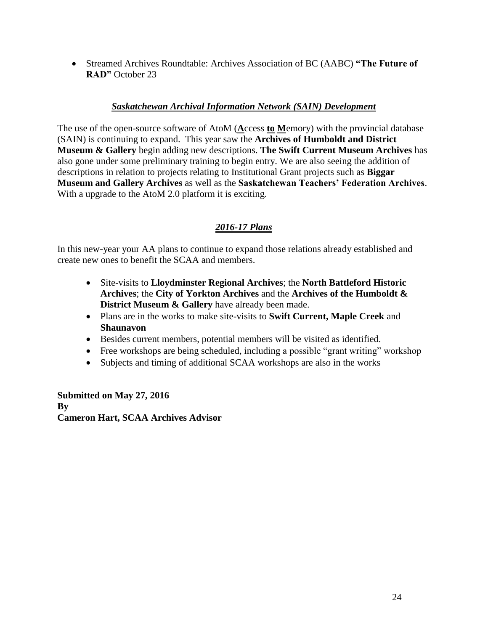Streamed Archives Roundtable: Archives Association of BC (AABC) **"The Future of RAD"** October 23

## *Saskatchewan Archival Information Network (SAIN) Development*

The use of the open-source software of AtoM (**A**ccess **to M**emory) with the provincial database (SAIN) is continuing to expand. This year saw the **Archives of Humboldt and District Museum & Gallery** begin adding new descriptions. **The Swift Current Museum Archives** has also gone under some preliminary training to begin entry. We are also seeing the addition of descriptions in relation to projects relating to Institutional Grant projects such as **Biggar Museum and Gallery Archives** as well as the **Saskatchewan Teachers' Federation Archives**. With a upgrade to the AtoM 2.0 platform it is exciting.

## *2016-17 Plans*

In this new-year your AA plans to continue to expand those relations already established and create new ones to benefit the SCAA and members.

- Site-visits to **Lloydminster Regional Archives**; the **North Battleford Historic Archives**; the **City of Yorkton Archives** and the **Archives of the Humboldt & District Museum & Gallery** have already been made.
- Plans are in the works to make site-visits to **Swift Current, Maple Creek** and **Shaunavon**
- Besides current members, potential members will be visited as identified.
- Free workshops are being scheduled, including a possible "grant writing" workshop
- Subjects and timing of additional SCAA workshops are also in the works

**Submitted on May 27, 2016 By Cameron Hart, SCAA Archives Advisor**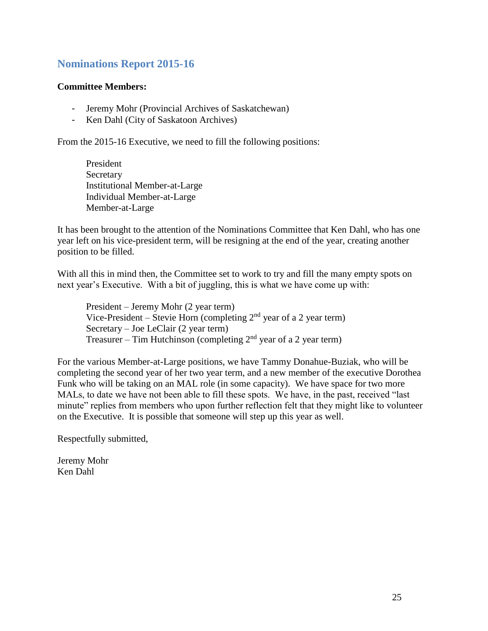# **Nominations Report 2015-16**

### **Committee Members:**

- Jeremy Mohr (Provincial Archives of Saskatchewan)
- Ken Dahl (City of Saskatoon Archives)

From the 2015-16 Executive, we need to fill the following positions:

President Secretary Institutional Member-at-Large Individual Member-at-Large Member-at-Large

It has been brought to the attention of the Nominations Committee that Ken Dahl, who has one year left on his vice-president term, will be resigning at the end of the year, creating another position to be filled.

With all this in mind then, the Committee set to work to try and fill the many empty spots on next year's Executive. With a bit of juggling, this is what we have come up with:

President – Jeremy Mohr (2 year term) Vice-President – Stevie Horn (completing  $2<sup>nd</sup>$  year of a 2 year term) Secretary – Joe LeClair (2 year term) Treasurer – Tim Hutchinson (completing  $2<sup>nd</sup>$  year of a 2 year term)

For the various Member-at-Large positions, we have Tammy Donahue-Buziak, who will be completing the second year of her two year term, and a new member of the executive Dorothea Funk who will be taking on an MAL role (in some capacity). We have space for two more MALs, to date we have not been able to fill these spots. We have, in the past, received "last minute" replies from members who upon further reflection felt that they might like to volunteer on the Executive. It is possible that someone will step up this year as well.

Respectfully submitted,

Jeremy Mohr Ken Dahl